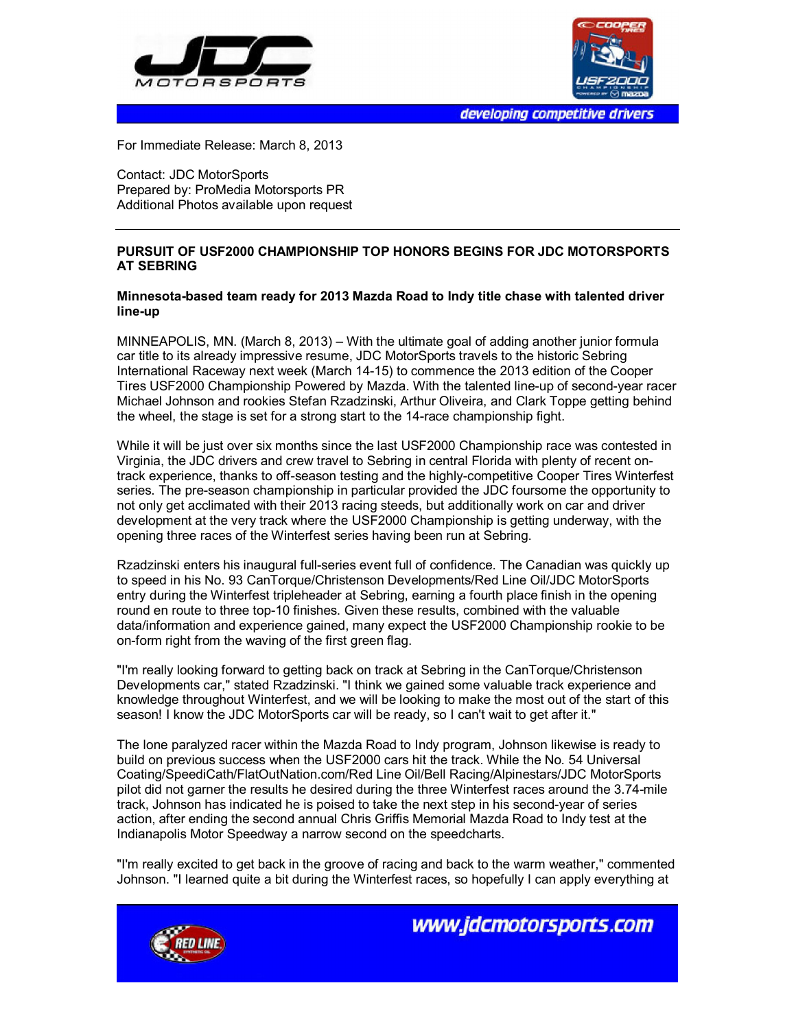



developing competitive drivers

For Immediate Release: March 8, 2013

Contact: JDC MotorSports Prepared by: ProMedia Motorsports PR Additional Photos available upon request

## **PURSUIT OF USF2000 CHAMPIONSHIP TOP HONORS BEGINS FOR JDC MOTORSPORTS AT SEBRING**

## **Minnesota-based team ready for 2013 Mazda Road to Indy title chase with talented driver line-up**

MINNEAPOLIS, MN. (March 8, 2013) – With the ultimate goal of adding another junior formula car title to its already impressive resume, JDC MotorSports travels to the historic Sebring International Raceway next week (March 14-15) to commence the 2013 edition of the Cooper Tires USF2000 Championship Powered by Mazda. With the talented line-up of second-year racer Michael Johnson and rookies Stefan Rzadzinski, Arthur Oliveira, and Clark Toppe getting behind the wheel, the stage is set for a strong start to the 14-race championship fight.

While it will be just over six months since the last USF2000 Championship race was contested in Virginia, the JDC drivers and crew travel to Sebring in central Florida with plenty of recent ontrack experience, thanks to off-season testing and the highly-competitive Cooper Tires Winterfest series. The pre-season championship in particular provided the JDC foursome the opportunity to not only get acclimated with their 2013 racing steeds, but additionally work on car and driver development at the very track where the USF2000 Championship is getting underway, with the opening three races of the Winterfest series having been run at Sebring.

Rzadzinski enters his inaugural full-series event full of confidence. The Canadian was quickly up to speed in his No. 93 CanTorque/Christenson Developments/Red Line Oil/JDC MotorSports entry during the Winterfest tripleheader at Sebring, earning a fourth place finish in the opening round en route to three top-10 finishes. Given these results, combined with the valuable data/information and experience gained, many expect the USF2000 Championship rookie to be on-form right from the waving of the first green flag.

"I'm really looking forward to getting back on track at Sebring in the CanTorque/Christenson Developments car," stated Rzadzinski. "I think we gained some valuable track experience and knowledge throughout Winterfest, and we will be looking to make the most out of the start of this season! I know the JDC MotorSports car will be ready, so I can't wait to get after it."

The lone paralyzed racer within the Mazda Road to Indy program, Johnson likewise is ready to build on previous success when the USF2000 cars hit the track. While the No. 54 Universal Coating/SpeediCath/FlatOutNation.com/Red Line Oil/Bell Racing/Alpinestars/JDC MotorSports pilot did not garner the results he desired during the three Winterfest races around the 3.74-mile track, Johnson has indicated he is poised to take the next step in his second-year of series action, after ending the second annual Chris Griffis Memorial Mazda Road to Indy test at the Indianapolis Motor Speedway a narrow second on the speedcharts.

"I'm really excited to get back in the groove of racing and back to the warm weather," commented Johnson. "I learned quite a bit during the Winterfest races, so hopefully I can apply everything at



www.jdcmotorsports.com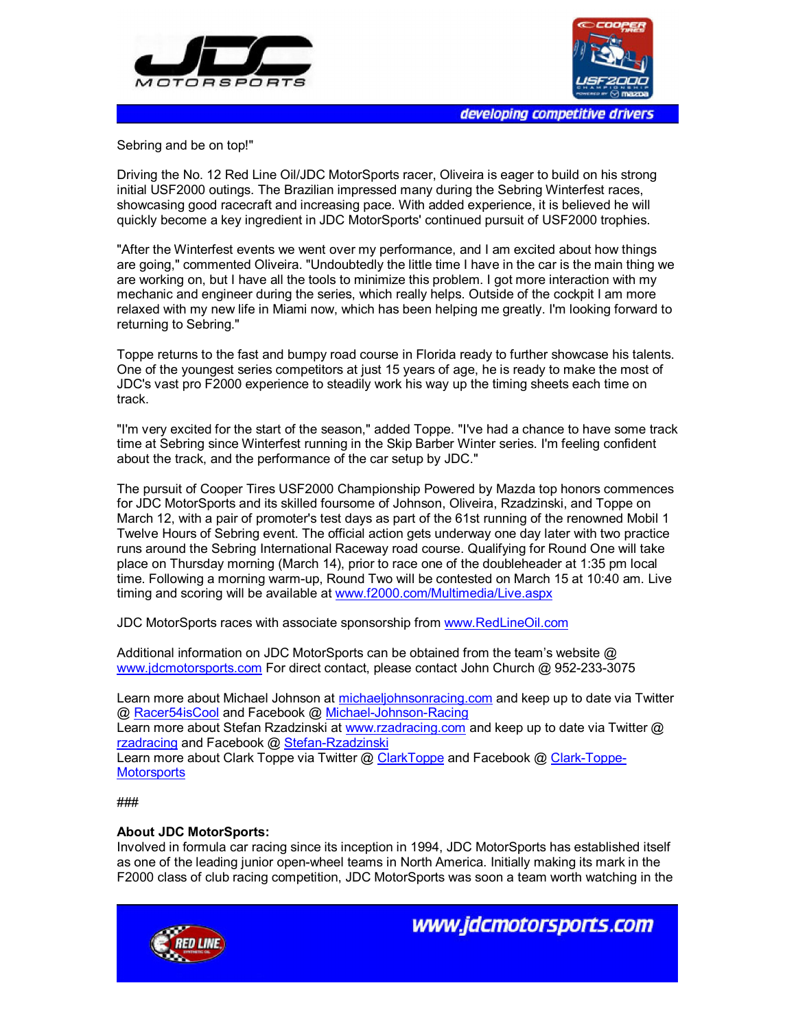



developing competitive drivers

Sebring and be on top!"

Driving the No. 12 Red Line Oil/JDC MotorSports racer, Oliveira is eager to build on his strong initial USF2000 outings. The Brazilian impressed many during the Sebring Winterfest races, showcasing good racecraft and increasing pace. With added experience, it is believed he will quickly become a key ingredient in JDC MotorSports' continued pursuit of USF2000 trophies.

"After the Winterfest events we went over my performance, and I am excited about how things are going," commented Oliveira. "Undoubtedly the little time I have in the car is the main thing we are working on, but I have all the tools to minimize this problem. I got more interaction with my mechanic and engineer during the series, which really helps. Outside of the cockpit I am more relaxed with my new life in Miami now, which has been helping me greatly. I'm looking forward to returning to Sebring."

Toppe returns to the fast and bumpy road course in Florida ready to further showcase his talents. One of the youngest series competitors at just 15 years of age, he is ready to make the most of JDC's vast pro F2000 experience to steadily work his way up the timing sheets each time on track.

"I'm very excited for the start of the season," added Toppe. "I've had a chance to have some track time at Sebring since Winterfest running in the Skip Barber Winter series. I'm feeling confident about the track, and the performance of the car setup by JDC."

The pursuit of Cooper Tires USF2000 Championship Powered by Mazda top honors commences for JDC MotorSports and its skilled foursome of Johnson, Oliveira, Rzadzinski, and Toppe on March 12, with a pair of promoter's test days as part of the 61st running of the renowned Mobil 1 Twelve Hours of Sebring event. The official action gets underway one day later with two practice runs around the Sebring International Raceway road course. Qualifying for Round One will take place on Thursday morning (March 14), prior to race one of the doubleheader at 1:35 pm local time. Following a morning warm-up, Round Two will be contested on March 15 at 10:40 am. Live timing and scoring will be available at www.f2000.com/Multimedia/Live.aspx

JDC MotorSports races with associate sponsorship from www.RedLineOil.com

Additional information on JDC MotorSports can be obtained from the team's website @ www.jdcmotorsports.com For direct contact, please contact John Church @ 952-233-3075

Learn more about Michael Johnson at michaeljohnsonracing.com and keep up to date via Twitter @ Racer54isCool and Facebook @ Michael-Johnson-Racing Learn more about Stefan Rzadzinski at www.rzadracing.com and keep up to date via Twitter @ rzadracing and Facebook @ Stefan-Rzadzinski

Learn more about Clark Toppe via Twitter @ ClarkToppe and Facebook @ Clark-Toppe-**Motorsports** 

## ###

## **About JDC MotorSports:**

Involved in formula car racing since its inception in 1994, JDC MotorSports has established itself as one of the leading junior open-wheel teams in North America. Initially making its mark in the F2000 class of club racing competition, JDC MotorSports was soon a team worth watching in the



www.jdcmotorsports.com